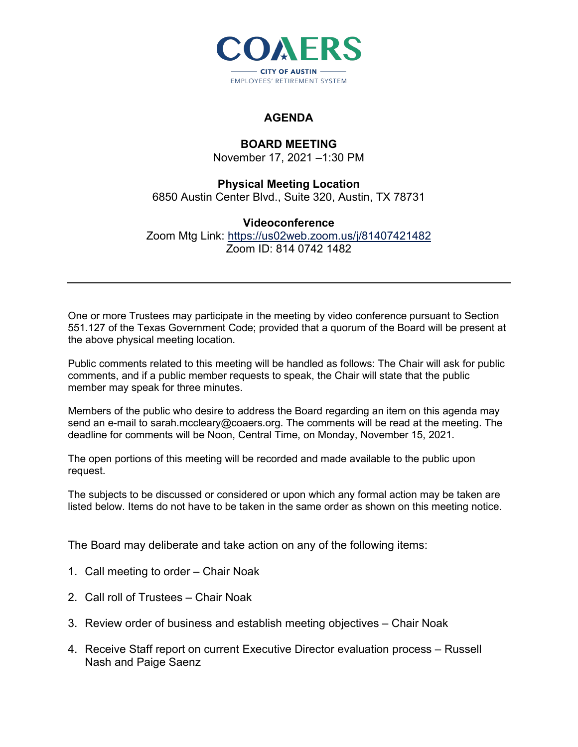

## **AGENDA**

## **BOARD MEETING**

November 17, 2021 –1:30 PM

## **Physical Meeting Location**

6850 Austin Center Blvd., Suite 320, Austin, TX 78731

## **Videoconference**

Zoom Mtg Link:<https://us02web.zoom.us/j/81407421482> Zoom ID: 814 0742 1482

One or more Trustees may participate in the meeting by video conference pursuant to Section 551.127 of the Texas Government Code; provided that a quorum of the Board will be present at the above physical meeting location.

Public comments related to this meeting will be handled as follows: The Chair will ask for public comments, and if a public member requests to speak, the Chair will state that the public member may speak for three minutes.

Members of the public who desire to address the Board regarding an item on this agenda may send an e-mail to sarah.mccleary@coaers.org. The comments will be read at the meeting. The deadline for comments will be Noon, Central Time, on Monday, November 15, 2021.

The open portions of this meeting will be recorded and made available to the public upon request.

The subjects to be discussed or considered or upon which any formal action may be taken are listed below. Items do not have to be taken in the same order as shown on this meeting notice.

The Board may deliberate and take action on any of the following items:

- 1. Call meeting to order Chair Noak
- 2. Call roll of Trustees Chair Noak
- 3. Review order of business and establish meeting objectives Chair Noak
- 4. Receive Staff report on current Executive Director evaluation process Russell Nash and Paige Saenz